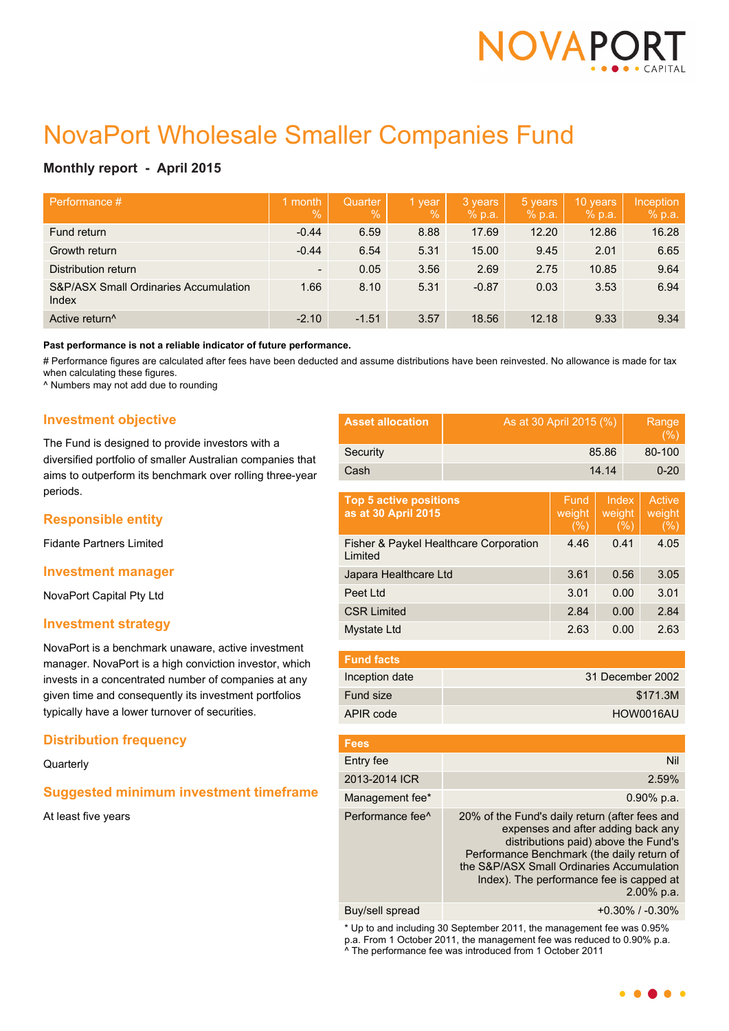

# NovaPort Wholesale Smaller Companies Fund

## **Monthly report - April 2015**

| Performance #                                             | month<br>$\%$            | Quarter<br>$\%$ | 1 year<br>$\frac{0}{0}$ | 3 years<br>% p.a. | 5 years<br>% p.a. | 10 years<br>% p.a. | Inception<br>% p.a. |
|-----------------------------------------------------------|--------------------------|-----------------|-------------------------|-------------------|-------------------|--------------------|---------------------|
| Fund return                                               | $-0.44$                  | 6.59            | 8.88                    | 17.69             | 12.20             | 12.86              | 16.28               |
| Growth return                                             | $-0.44$                  | 6.54            | 5.31                    | 15.00             | 9.45              | 2.01               | 6.65                |
| Distribution return                                       | $\overline{\phantom{a}}$ | 0.05            | 3.56                    | 2.69              | 2.75              | 10.85              | 9.64                |
| <b>S&amp;P/ASX Small Ordinaries Accumulation</b><br>Index | 1.66                     | 8.10            | 5.31                    | $-0.87$           | 0.03              | 3.53               | 6.94                |
| Active return <sup>^</sup>                                | $-2.10$                  | $-1.51$         | 3.57                    | 18.56             | 12.18             | 9.33               | 9.34                |

**Past performance is not a reliable indicator of future performance.**

# Performance figures are calculated after fees have been deducted and assume distributions have been reinvested. No allowance is made for tax when calculating these figures.

^ Numbers may not add due to rounding

### **Investment objective**

The Fund is designed to provide investors with a diversified portfolio of smaller Australian companies that aims to outperform its benchmark over rolling three-year periods.

## **Responsible entity**

Fidante Partners Limited

#### **Investment manager**

NovaPort Capital Pty Ltd

#### **Investment strategy**

NovaPort is a benchmark unaware, active investment manager. NovaPort is a high conviction investor, which invests in a concentrated number of companies at any given time and consequently its investment portfolios typically have a lower turnover of securities.

## **Distribution frequency**

**Quarterly** 

## **Suggested minimum investment timeframe**

At least five years

| <b>Asset allocation</b> | As at 30 April 2015 (%) | Range<br>(% ) |
|-------------------------|-------------------------|---------------|
| Security                | 85.86                   | 80-100        |
| Cash                    | 14.14                   | $0 - 20$      |

| Fund<br>weight<br>(% ) | Index<br>weight<br>(%) | Active<br>weight<br>(%) |
|------------------------|------------------------|-------------------------|
| 4.46                   | 0.41                   | 4.05                    |
| 3.61                   | 0.56                   | 3.05                    |
| 3.01                   | 0.00                   | 3.01                    |
| 2.84                   | 0.00                   | 2.84                    |
| 2.63                   | 0.00                   | 2.63                    |
|                        |                        |                         |

| <b>Fund facts</b> |                  |
|-------------------|------------------|
| Inception date    | 31 December 2002 |
| Fund size         | \$171.3M         |
| APIR code         | HOW0016AU        |

| <b>Fees</b>                  |                                                                                                                                                                                                                                                                                      |
|------------------------------|--------------------------------------------------------------------------------------------------------------------------------------------------------------------------------------------------------------------------------------------------------------------------------------|
| Entry fee                    | Nil                                                                                                                                                                                                                                                                                  |
| 2013-2014 ICR                | 2.59%                                                                                                                                                                                                                                                                                |
| Management fee*              | $0.90\%$ p.a.                                                                                                                                                                                                                                                                        |
| Performance fee <sup>^</sup> | 20% of the Fund's daily return (after fees and<br>expenses and after adding back any<br>distributions paid) above the Fund's<br>Performance Benchmark (the daily return of<br>the S&P/ASX Small Ordinaries Accumulation<br>Index). The performance fee is capped at<br>$2.00\%$ p.a. |
|                              |                                                                                                                                                                                                                                                                                      |

Buy/sell spread  $+0.30\%$  / -0.30%

\* Up to and including 30 September 2011, the management fee was 0.95% p.a. From 1 October 2011, the management fee was reduced to 0.90% p.a. ^ The performance fee was introduced from 1 October 2011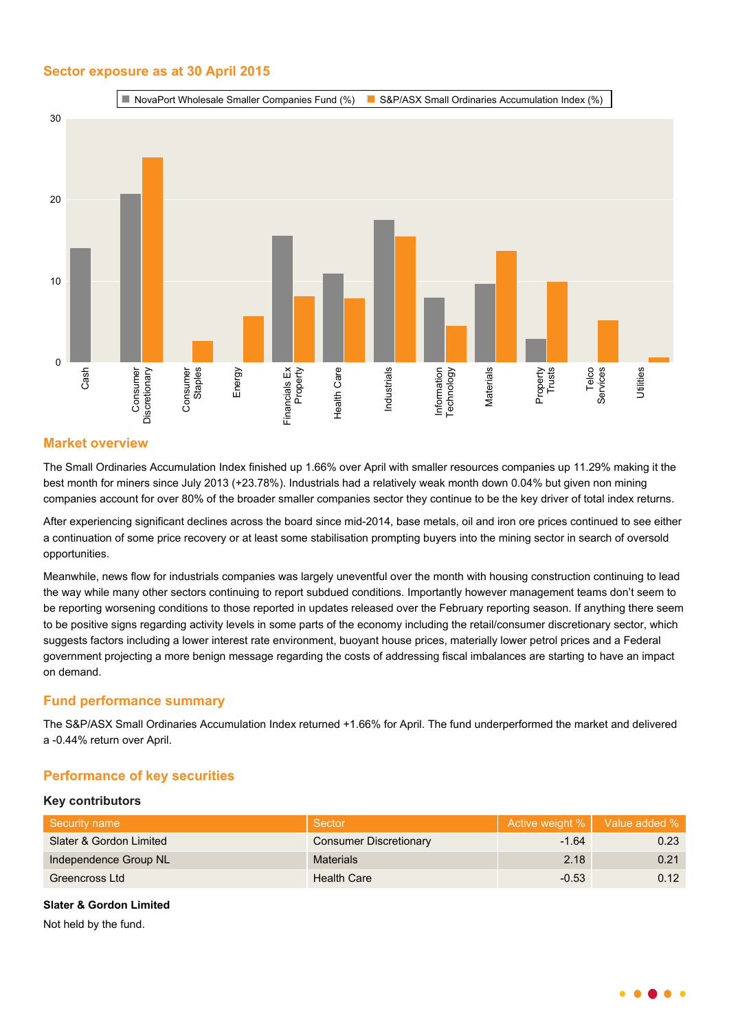## **Sector exposure as at 30 April 2015**



## **Market overview**

The Small Ordinaries Accumulation Index finished up 1.66% over April with smaller resources companies up 11.29% making it the best month for miners since July 2013 (+23.78%). Industrials had a relatively weak month down 0.04% but given non mining companies account for over 80% of the broader smaller companies sector they continue to be the key driver of total index returns.

After experiencing significant declines across the board since mid-2014, base metals, oil and iron ore prices continued to see either a continuation of some price recovery or at least some stabilisation prompting buyers into the mining sector in search of oversold opportunities.

Meanwhile, news flow for industrials companies was largely uneventful over the month with housing construction continuing to lead the way while many other sectors continuing to report subdued conditions. Importantly however management teams don't seem to be reporting worsening conditions to those reported in updates released over the February reporting season. If anything there seem to be positive signs regarding activity levels in some parts of the economy including the retail/consumer discretionary sector, which suggests factors including a lower interest rate environment, buoyant house prices, materially lower petrol prices and a Federal government projecting a more benign message regarding the costs of addressing fiscal imbalances are starting to have an impact on demand.

## **Fund performance summary**

The S&P/ASX Small Ordinaries Accumulation Index returned +1.66% for April. The fund underperformed the market and delivered a -0.44% return over April.

## **Performance of key securities**

#### **Key contributors**

| Security name           | Sector                        |         | Active weight %   Value added % |
|-------------------------|-------------------------------|---------|---------------------------------|
| Slater & Gordon Limited | <b>Consumer Discretionary</b> | $-1.64$ | 0.23                            |
| Independence Group NL   | <b>Materials</b>              | 2.18    | 0.21                            |
| Greencross Ltd          | <b>Health Care</b>            | $-0.53$ | 0.12                            |

#### **Slater & Gordon Limited**

Not held by the fund.